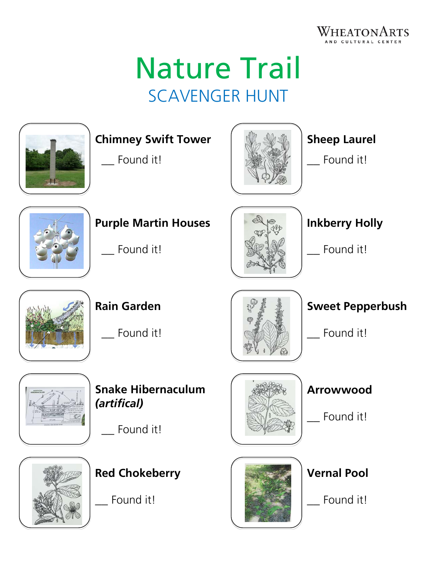

# Nature Trail SCAVENGER HUNT



### **Chimney Swift Tower**

\_\_ Found it!



## **Sheep Laurel**

\_\_ Found it!



# **Purple Martin Houses**

\_\_ Found it!



# **Inkberry Holly**

\_\_ Found it!



**Rain Garden**

Found it!



# **Snake Hibernaculum** *(artifical)*

Found it!



**Red Chokeberry**

\_\_ Found it!





Found it!



Found it!

**Vernal Pool**

\_\_ Found it!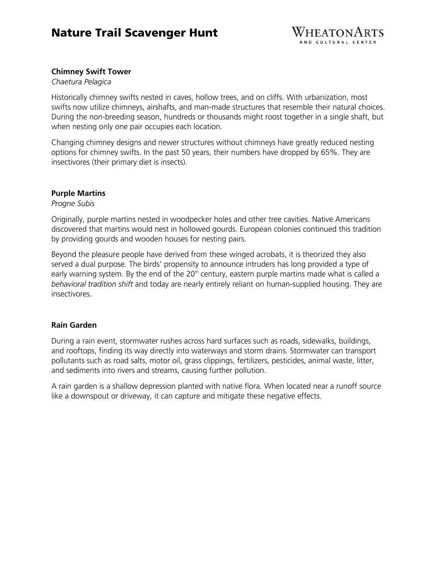### Nature Trail Scavenger Hunt



#### **Chimney Swift Tower**

#### *Chaetura Pelagica*

Historically chimney swifts nested in caves, hollow trees, and on cliffs. With urbanization, most swifts now utilize chimneys, airshafts, and man-made structures that resemble their natural choices. During the non-breeding season, hundreds or thousands might roost together in a single shaft, but when nesting only one pair occupies each location.

Changing chimney designs and newer structures without chimneys have greatly reduced nesting options for chimney swifts. In the past 50 years, their numbers have dropped by 65%. They are insectivores (their primary diet is insects).

#### **Purple Martins**

*Progne Subis*

Originally, purple martins nested in woodpecker holes and other tree cavities. Native Americans discovered that martins would nest in hollowed gourds. European colonies continued this tradition by providing gourds and wooden houses for nesting pairs.

Beyond the pleasure people have derived from these winged acrobats, it is theorized they also served a dual purpose. The birds' propensity to announce intruders has long provided a type of early warning system. By the end of the  $20<sup>th</sup>$  century, eastern purple martins made what is called a *behavioral tradition shift* and today are nearly entirely reliant on human-supplied housing. They are insectivores.

#### **Rain Garden**

During a rain event, stormwater rushes across hard surfaces such as roads, sidewalks, buildings, and rooftops, finding its way directly into waterways and storm drains. Stormwater can transport pollutants such as road salts, motor oil, grass clippings, fertilizers, pesticides, animal waste, litter, and sediments into rivers and streams, causing further pollution.

A rain garden is a shallow depression planted with native flora. When located near a runoff source like a downspout or driveway, it can capture and mitigate these negative effects.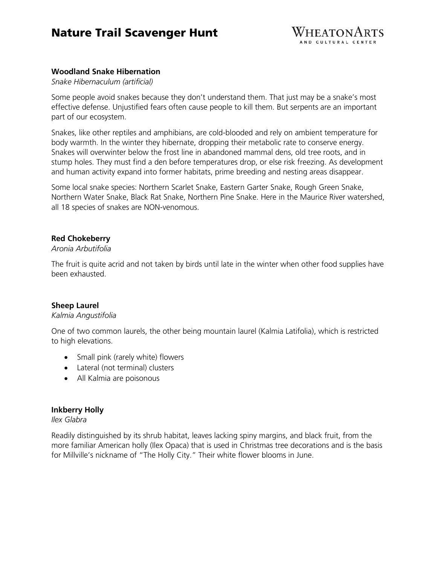### Nature Trail Scavenger Hunt



#### **Woodland Snake Hibernation**

*Snake Hibernaculum (artificial)*

Some people avoid snakes because they don't understand them. That just may be a snake's most effective defense. Unjustified fears often cause people to kill them. But serpents are an important part of our ecosystem.

Snakes, like other reptiles and amphibians, are cold-blooded and rely on ambient temperature for body warmth. In the winter they hibernate, dropping their metabolic rate to conserve energy. Snakes will overwinter below the frost line in abandoned mammal dens, old tree roots, and in stump holes. They must find a den before temperatures drop, or else risk freezing. As development and human activity expand into former habitats, prime breeding and nesting areas disappear.

Some local snake species: Northern Scarlet Snake, Eastern Garter Snake, Rough Green Snake, Northern Water Snake, Black Rat Snake, Northern Pine Snake. Here in the Maurice River watershed, all 18 species of snakes are NON-venomous.

#### **Red Chokeberry**

#### *Aronia Arbutifolia*

The fruit is quite acrid and not taken by birds until late in the winter when other food supplies have been exhausted.

#### **Sheep Laurel**

#### *Kalmia Angustifolia*

One of two common laurels, the other being mountain laurel (Kalmia Latifolia), which is restricted to high elevations.

- Small pink (rarely white) flowers
- Lateral (not terminal) clusters
- All Kalmia are poisonous

#### **Inkberry Holly**

#### *Ilex Glabra*

Readily distinguished by its shrub habitat, leaves lacking spiny margins, and black fruit, from the more familiar American holly (Ilex Opaca) that is used in Christmas tree decorations and is the basis for Millville's nickname of "The Holly City." Their white flower blooms in June.